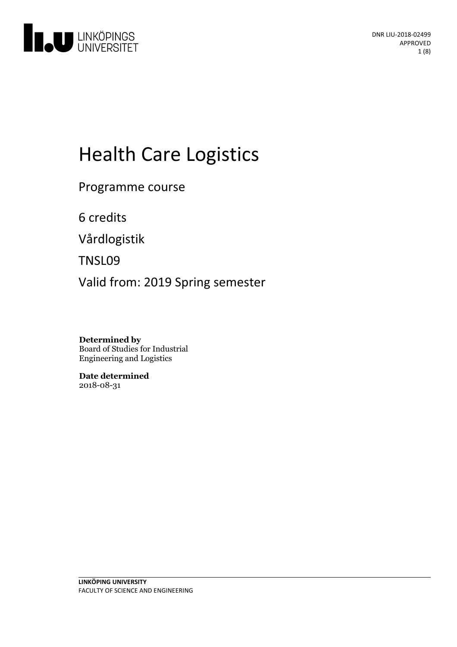

# Health Care Logistics

Programme course

6 credits

Vårdlogistik

TNSL09

Valid from: 2019 Spring semester

**Determined by** Board of Studies for Industrial Engineering and Logistics

**Date determined** 2018-08-31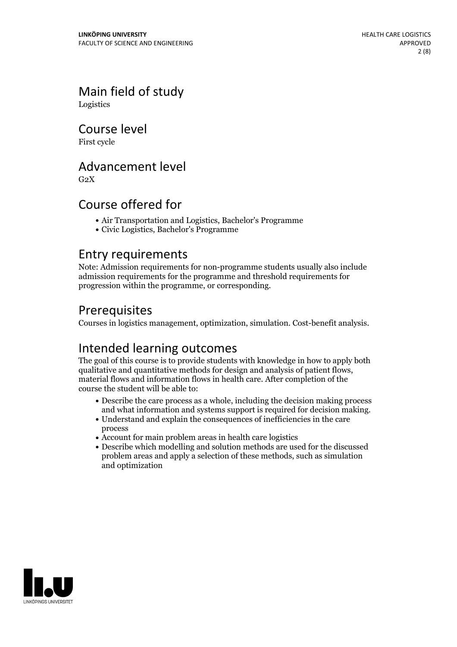Main field of study Logistics

Course level

First cycle

# Advancement level

 $G<sub>2</sub>X$ 

# Course offered for

- Air Transportation and Logistics, Bachelor's Programme
- Civic Logistics, Bachelor's Programme

### Entry requirements

Note: Admission requirements for non-programme students usually also include admission requirements for the programme and threshold requirements for progression within the programme, or corresponding.

# Prerequisites

Courses in logistics management, optimization, simulation. Cost-benefit analysis.

# Intended learning outcomes

The goal of this course is to provide students with knowledge in how to apply both qualitative and quantitative methods for design and analysis of patient flows, material flows and information flows in health care. After completion of the course the student will be able to:

- Describe the care process as a whole, including the decision making process and what information and systems support is required for decision making.<br>• Understand and explain the consequences of inefficiencies in the care
- process
- Account for main problem areas in health care logistics
- Describe which modelling and solution methods are used for the discussed problem areas and apply a selection of these methods, such as simulation and optimization

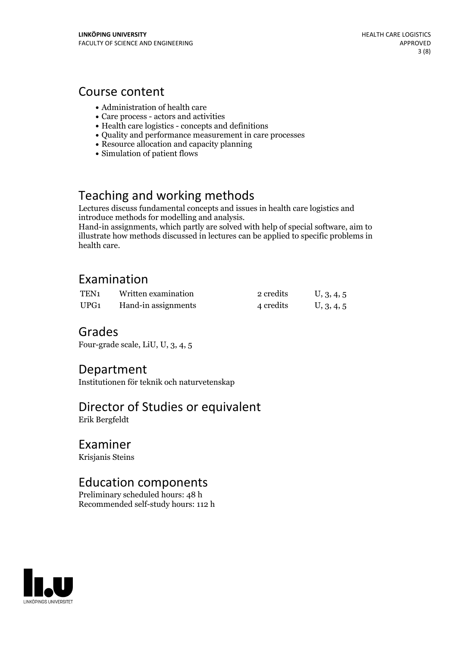### Course content

- Administration of health care
- Care process actors and activities
- Health care logistics concepts and definitions
- Quality and performance measurement in care processes
- Resource allocation and capacity planning
- Simulation of patient flows

# Teaching and working methods

Lectures discuss fundamental concepts and issues in health care logistics and

Hand-in assignments, which partly are solved with help of special software, aim to illustrate how methods discussed in lectures can be applied to specific problems in health care.

# Examination

| TEN <sub>1</sub> | Written examination | 2 credits | U, 3, 4, 5 |
|------------------|---------------------|-----------|------------|
| UPG1             | Hand-in assignments | 4 credits | U, 3, 4, 5 |

### Grades

Four-grade scale, LiU, U, 3, 4, 5

### Department

Institutionen för teknik och naturvetenskap

# Director of Studies or equivalent

Erik Bergfeldt

### Examiner

Krisjanis Steins

### Education components

Preliminary scheduled hours: 48 h Recommended self-study hours: 112 h

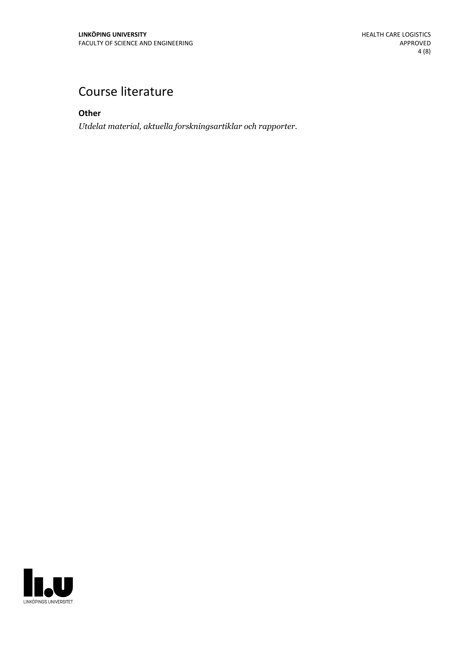# Course literature

**Other**

*Utdelat material, aktuella forskningsartiklar och rapporter.*

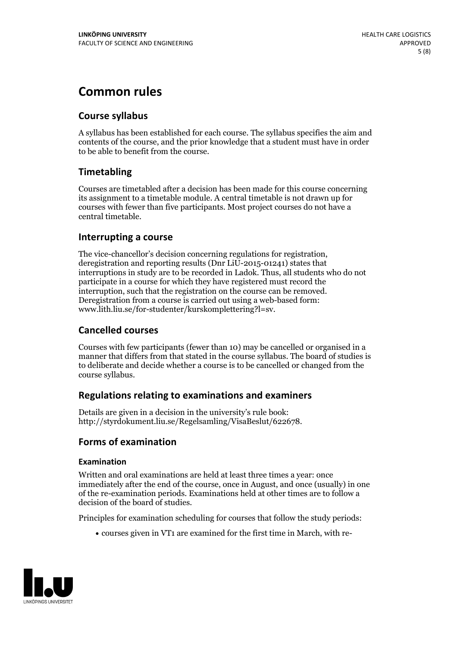# **Common rules**

### **Course syllabus**

A syllabus has been established for each course. The syllabus specifies the aim and contents of the course, and the prior knowledge that a student must have in order to be able to benefit from the course.

### **Timetabling**

Courses are timetabled after a decision has been made for this course concerning its assignment to a timetable module. A central timetable is not drawn up for courses with fewer than five participants. Most project courses do not have a central timetable.

### **Interrupting a course**

The vice-chancellor's decision concerning regulations for registration, deregistration and reporting results (Dnr LiU-2015-01241) states that interruptions in study are to be recorded in Ladok. Thus, all students who do not participate in a course for which they have registered must record the interruption, such that the registration on the course can be removed. Deregistration from <sup>a</sup> course is carried outusing <sup>a</sup> web-based form: www.lith.liu.se/for-studenter/kurskomplettering?l=sv.

### **Cancelled courses**

Courses with few participants (fewer than 10) may be cancelled or organised in a manner that differs from that stated in the course syllabus. The board of studies is to deliberate and decide whether a course is to be cancelled orchanged from the course syllabus.

### **Regulations relatingto examinations and examiners**

Details are given in a decision in the university's rule book: http://styrdokument.liu.se/Regelsamling/VisaBeslut/622678.

### **Forms of examination**

#### **Examination**

Written and oral examinations are held at least three times a year: once immediately after the end of the course, once in August, and once (usually) in one of the re-examination periods. Examinations held at other times are to follow a decision of the board of studies.

Principles for examination scheduling for courses that follow the study periods:

courses given in VT1 are examined for the first time in March, with re-

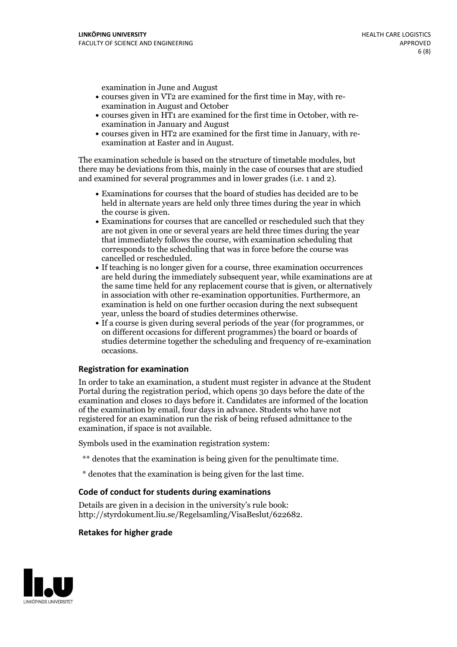examination in June and August

- courses given in VT2 are examined for the first time in May, with re-examination in August and October
- courses given in HT1 are examined for the first time in October, with re-examination in January and August
- courses given in HT2 are examined for the first time in January, with re-examination at Easter and in August.

The examination schedule is based on the structure of timetable modules, but there may be deviations from this, mainly in the case of courses that are studied and examined for several programmes and in lower grades (i.e. 1 and 2).

- Examinations for courses that the board of studies has decided are to be held in alternate years are held only three times during the year in which
- the course is given.<br>• Examinations for courses that are cancelled or rescheduled such that they are not given in one or several years are held three times during the year that immediately follows the course, with examination scheduling that corresponds to the scheduling that was in force before the course was cancelled or rescheduled.<br>• If teaching is no longer given for a course, three examination occurrences
- are held during the immediately subsequent year, while examinations are at the same time held for any replacement course that is given, or alternatively in association with other re-examination opportunities. Furthermore, an examination is held on one further occasion during the next subsequent year, unless the board of studies determines otherwise.<br>• If a course is given during several periods of the year (for programmes, or
- on different occasions for different programmes) the board orboards of studies determine together the scheduling and frequency of re-examination occasions.

#### **Registration for examination**

In order to take an examination, a student must register in advance at the Student Portal during the registration period, which opens 30 days before the date of the examination and closes 10 days before it. Candidates are informed of the location of the examination by email, four days in advance. Students who have not registered for an examination run the risk of being refused admittance to the examination, if space is not available.

Symbols used in the examination registration system:

- \*\* denotes that the examination is being given for the penultimate time.
- \* denotes that the examination is being given for the last time.

#### **Code of conduct for students during examinations**

Details are given in a decision in the university's rule book: http://styrdokument.liu.se/Regelsamling/VisaBeslut/622682.

#### **Retakes for higher grade**

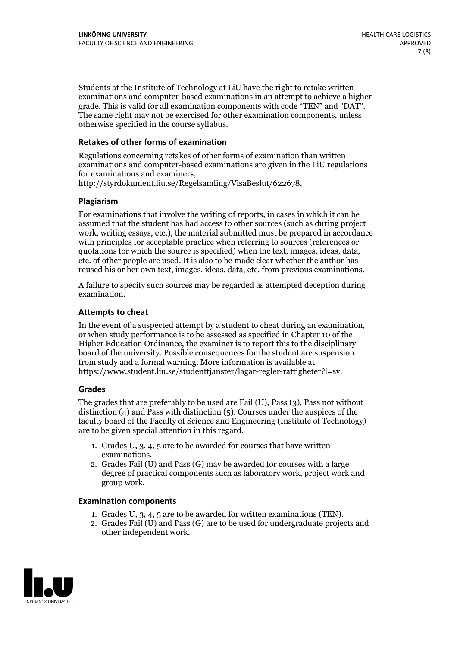Students at the Institute of Technology at LiU have the right to retake written examinations and computer-based examinations in an attempt to achieve a higher grade. This is valid for all examination components with code "TEN" and "DAT". The same right may not be exercised for other examination components, unless otherwise specified in the course syllabus.

#### **Retakes of other forms of examination**

Regulations concerning retakes of other forms of examination than written examinations and computer-based examinations are given in the LiU regulations for examinations and examiners, http://styrdokument.liu.se/Regelsamling/VisaBeslut/622678.

#### **Plagiarism**

For examinations that involve the writing of reports, in cases in which it can be assumed that the student has had access to other sources (such as during project work, writing essays, etc.), the material submitted must be prepared in accordance with principles for acceptable practice when referring to sources (references or quotations for which the source is specified) when the text, images, ideas, data, etc. of other people are used. It is also to be made clear whether the author has reused his or her own text, images, ideas, data, etc. from previous examinations.

A failure to specify such sources may be regarded as attempted deception during examination.

#### **Attempts to cheat**

In the event of <sup>a</sup> suspected attempt by <sup>a</sup> student to cheat during an examination, or when study performance is to be assessed as specified in Chapter <sup>10</sup> of the Higher Education Ordinance, the examiner is to report this to the disciplinary board of the university. Possible consequences for the student are suspension from study and a formal warning. More information is available at https://www.student.liu.se/studenttjanster/lagar-regler-rattigheter?l=sv.

#### **Grades**

The grades that are preferably to be used are Fail (U), Pass (3), Pass not without distinction  $(4)$  and Pass with distinction  $(5)$ . Courses under the auspices of the faculty board of the Faculty of Science and Engineering (Institute of Technology) are to be given special attention in this regard.

- 1. Grades U, 3, 4, 5 are to be awarded for courses that have written
- examinations. 2. Grades Fail (U) and Pass (G) may be awarded for courses with <sup>a</sup> large degree of practical components such as laboratory work, project work and group work.

#### **Examination components**

- 
- 1. Grades U, 3, 4, <sup>5</sup> are to be awarded for written examinations (TEN). 2. Grades Fail (U) and Pass (G) are to be used for undergraduate projects and other independent work.